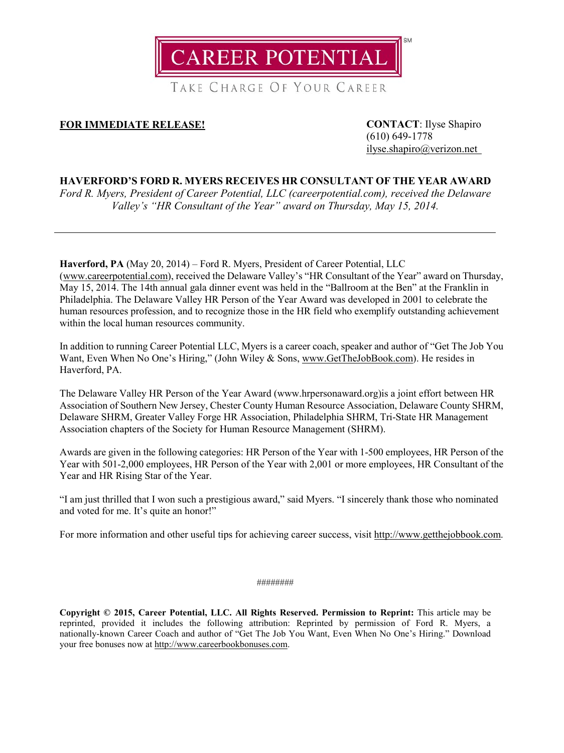

TAKE CHARGE OF YOUR CAREER

## **FOR IMMEDIATE RELEASE! CONTACT**: Ilyse Shapiro

(610) 649-1778 [ilyse.shapiro@verizon.net](mailto:ilyse.shapiro@verizon.net)

## **HAVERFORD'S FORD R. MYERS RECEIVES HR CONSULTANT OF THE YEAR AWARD**

*Ford R. Myers, President of Career Potential, LLC (careerpotential.com), received the Delaware Valley's "HR Consultant of the Year" award on Thursday, May 15, 2014.*

**Haverford, PA** (May 20, 2014) – Ford R. Myers, President of Career Potential, LLC [\(www.careerpotential.com\)](http://careerpotential.com/), received the Delaware Valley's "HR Consultant of the Year" award on Thursday, May 15, 2014. The 14th annual gala dinner event was held in the "Ballroom at the Ben" at the Franklin in Philadelphia. The Delaware Valley HR Person of the Year Award was developed in 2001 to celebrate the human resources profession, and to recognize those in the HR field who exemplify outstanding achievement within the local human resources community.

In addition to running Career Potential LLC, Myers is a career coach, speaker and author of "Get The Job You Want, Even When No One's Hiring," (John Wiley & Sons, [www.GetTheJobBook.com\)](http://www.getthejobbook.com/). He resides in Haverford, PA.

The Delaware Valley HR Person of the Year Award (www.hrpersonaward.org)is a joint effort between HR Association of Southern New Jersey, Chester County Human Resource Association, Delaware County SHRM, Delaware SHRM, Greater Valley Forge HR Association, Philadelphia SHRM, Tri-State HR Management Association chapters of the Society for Human Resource Management (SHRM).

Awards are given in the following categories: HR Person of the Year with 1-500 employees, HR Person of the Year with 501-2,000 employees, HR Person of the Year with 2,001 or more employees, HR Consultant of the Year and HR Rising Star of the Year.

"I am just thrilled that I won such a prestigious award," said Myers. "I sincerely thank those who nominated and voted for me. It's quite an honor!"

For more information and other useful tips for achieving career success, visit [http://www.getthejobbook.com.](http://www.getthejobbook.com/)

## ########

**Copyright © 2015, Career Potential, LLC. All Rights Reserved. Permission to Reprint:** This article may be reprinted, provided it includes the following attribution: Reprinted by permission of Ford R. Myers, a nationally-known Career Coach and author of "Get The Job You Want, Even When No One's Hiring." Download your free bonuses now at [http://www.careerbookbonuses.com.](http://www.careerbookbonuses.com/)